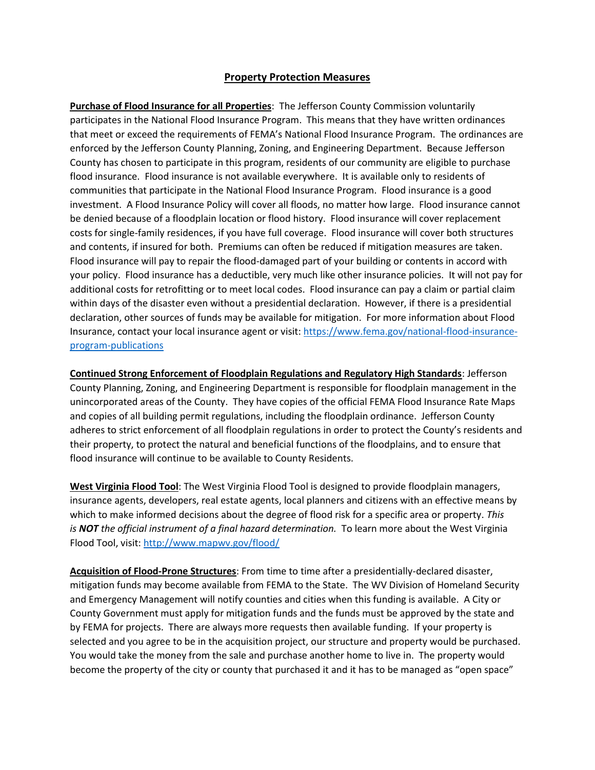## **Property Protection Measures**

**Purchase of Flood Insurance for all Properties**: The Jefferson County Commission voluntarily participates in the National Flood Insurance Program. This means that they have written ordinances that meet or exceed the requirements of FEMA's National Flood Insurance Program. The ordinances are enforced by the Jefferson County Planning, Zoning, and Engineering Department. Because Jefferson County has chosen to participate in this program, residents of our community are eligible to purchase flood insurance. Flood insurance is not available everywhere. It is available only to residents of communities that participate in the National Flood Insurance Program. Flood insurance is a good investment. A Flood Insurance Policy will cover all floods, no matter how large. Flood insurance cannot be denied because of a floodplain location or flood history. Flood insurance will cover replacement costs for single-family residences, if you have full coverage. Flood insurance will cover both structures and contents, if insured for both. Premiums can often be reduced if mitigation measures are taken. Flood insurance will pay to repair the flood-damaged part of your building or contents in accord with your policy. Flood insurance has a deductible, very much like other insurance policies. It will not pay for additional costs for retrofitting or to meet local codes. Flood insurance can pay a claim or partial claim within days of the disaster even without a presidential declaration. However, if there is a presidential declaration, other sources of funds may be available for mitigation. For more information about Flood Insurance, contact your local insurance agent or visit: [https://www.fema.gov/national-flood-insurance](https://www.fema.gov/national-flood-insurance-program-publications)[program-publications](https://www.fema.gov/national-flood-insurance-program-publications)

**Continued Strong Enforcement of Floodplain Regulations and Regulatory High Standards**: Jefferson County Planning, Zoning, and Engineering Department is responsible for floodplain management in the unincorporated areas of the County. They have copies of the official FEMA Flood Insurance Rate Maps and copies of all building permit regulations, including the floodplain ordinance. Jefferson County adheres to strict enforcement of all floodplain regulations in order to protect the County's residents and their property, to protect the natural and beneficial functions of the floodplains, and to ensure that flood insurance will continue to be available to County Residents.

**West Virginia Flood Tool**: The West Virginia Flood Tool is designed to provide floodplain managers, insurance agents, developers, real estate agents, local planners and citizens with an effective means by which to make informed decisions about the degree of flood risk for a specific area or property. *This is NOT the official instrument of a final hazard determination.* To learn more about the West Virginia Flood Tool, visit[: http://www.mapwv.gov/flood/](http://www.mapwv.gov/flood/)

**Acquisition of Flood-Prone Structures**: From time to time after a presidentially-declared disaster, mitigation funds may become available from FEMA to the State. The WV Division of Homeland Security and Emergency Management will notify counties and cities when this funding is available. A City or County Government must apply for mitigation funds and the funds must be approved by the state and by FEMA for projects. There are always more requests then available funding. If your property is selected and you agree to be in the acquisition project, our structure and property would be purchased. You would take the money from the sale and purchase another home to live in. The property would become the property of the city or county that purchased it and it has to be managed as "open space"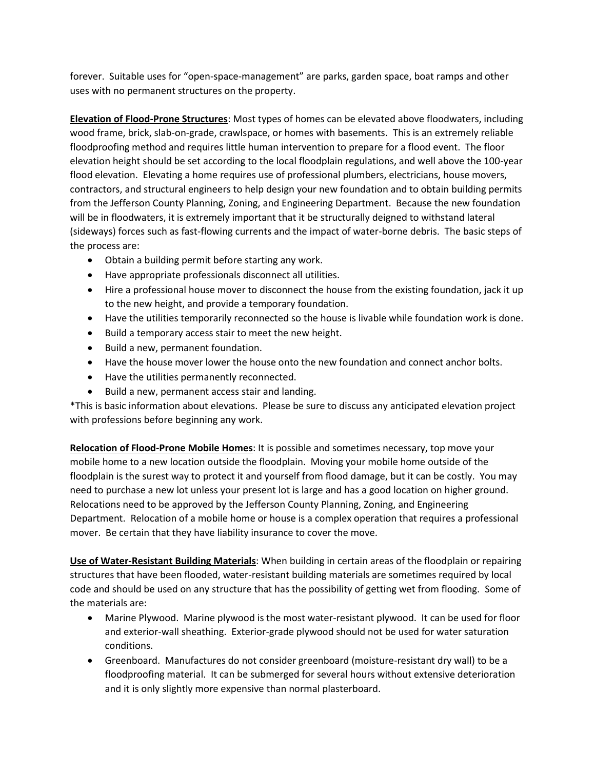forever. Suitable uses for "open-space-management" are parks, garden space, boat ramps and other uses with no permanent structures on the property.

**Elevation of Flood-Prone Structures**: Most types of homes can be elevated above floodwaters, including wood frame, brick, slab-on-grade, crawlspace, or homes with basements. This is an extremely reliable floodproofing method and requires little human intervention to prepare for a flood event. The floor elevation height should be set according to the local floodplain regulations, and well above the 100-year flood elevation. Elevating a home requires use of professional plumbers, electricians, house movers, contractors, and structural engineers to help design your new foundation and to obtain building permits from the Jefferson County Planning, Zoning, and Engineering Department. Because the new foundation will be in floodwaters, it is extremely important that it be structurally deigned to withstand lateral (sideways) forces such as fast-flowing currents and the impact of water-borne debris. The basic steps of the process are:

- Obtain a building permit before starting any work.
- Have appropriate professionals disconnect all utilities.
- Hire a professional house mover to disconnect the house from the existing foundation, jack it up to the new height, and provide a temporary foundation.
- Have the utilities temporarily reconnected so the house is livable while foundation work is done.
- Build a temporary access stair to meet the new height.
- Build a new, permanent foundation.
- Have the house mover lower the house onto the new foundation and connect anchor bolts.
- Have the utilities permanently reconnected.
- Build a new, permanent access stair and landing.

\*This is basic information about elevations. Please be sure to discuss any anticipated elevation project with professions before beginning any work.

**Relocation of Flood-Prone Mobile Homes**: It is possible and sometimes necessary, top move your mobile home to a new location outside the floodplain. Moving your mobile home outside of the floodplain is the surest way to protect it and yourself from flood damage, but it can be costly. You may need to purchase a new lot unless your present lot is large and has a good location on higher ground. Relocations need to be approved by the Jefferson County Planning, Zoning, and Engineering Department. Relocation of a mobile home or house is a complex operation that requires a professional mover. Be certain that they have liability insurance to cover the move.

**Use of Water-Resistant Building Materials**: When building in certain areas of the floodplain or repairing structures that have been flooded, water-resistant building materials are sometimes required by local code and should be used on any structure that has the possibility of getting wet from flooding. Some of the materials are:

- Marine Plywood. Marine plywood is the most water-resistant plywood. It can be used for floor and exterior-wall sheathing. Exterior-grade plywood should not be used for water saturation conditions.
- Greenboard. Manufactures do not consider greenboard (moisture-resistant dry wall) to be a floodproofing material. It can be submerged for several hours without extensive deterioration and it is only slightly more expensive than normal plasterboard.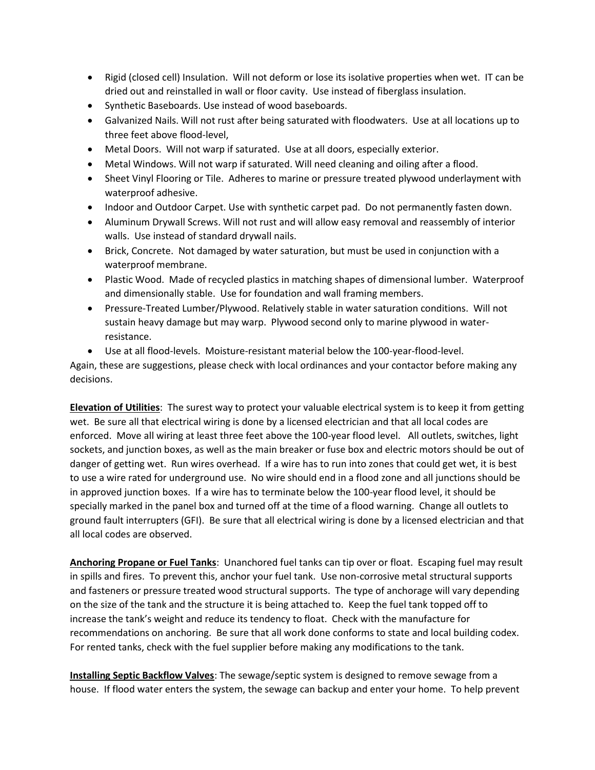- Rigid (closed cell) Insulation. Will not deform or lose its isolative properties when wet. IT can be dried out and reinstalled in wall or floor cavity. Use instead of fiberglass insulation.
- Synthetic Baseboards. Use instead of wood baseboards.
- Galvanized Nails. Will not rust after being saturated with floodwaters. Use at all locations up to three feet above flood-level,
- Metal Doors. Will not warp if saturated. Use at all doors, especially exterior.
- Metal Windows. Will not warp if saturated. Will need cleaning and oiling after a flood.
- Sheet Vinyl Flooring or Tile. Adheres to marine or pressure treated plywood underlayment with waterproof adhesive.
- Indoor and Outdoor Carpet. Use with synthetic carpet pad. Do not permanently fasten down.
- Aluminum Drywall Screws. Will not rust and will allow easy removal and reassembly of interior walls. Use instead of standard drywall nails.
- Brick, Concrete. Not damaged by water saturation, but must be used in conjunction with a waterproof membrane.
- Plastic Wood. Made of recycled plastics in matching shapes of dimensional lumber. Waterproof and dimensionally stable. Use for foundation and wall framing members.
- Pressure-Treated Lumber/Plywood. Relatively stable in water saturation conditions. Will not sustain heavy damage but may warp. Plywood second only to marine plywood in waterresistance.
- Use at all flood-levels. Moisture-resistant material below the 100-year-flood-level.

Again, these are suggestions, please check with local ordinances and your contactor before making any decisions.

**Elevation of Utilities**: The surest way to protect your valuable electrical system is to keep it from getting wet. Be sure all that electrical wiring is done by a licensed electrician and that all local codes are enforced. Move all wiring at least three feet above the 100-year flood level. All outlets, switches, light sockets, and junction boxes, as well as the main breaker or fuse box and electric motors should be out of danger of getting wet. Run wires overhead. If a wire has to run into zones that could get wet, it is best to use a wire rated for underground use. No wire should end in a flood zone and all junctions should be in approved junction boxes. If a wire has to terminate below the 100-year flood level, it should be specially marked in the panel box and turned off at the time of a flood warning. Change all outlets to ground fault interrupters (GFI). Be sure that all electrical wiring is done by a licensed electrician and that all local codes are observed.

**Anchoring Propane or Fuel Tanks**: Unanchored fuel tanks can tip over or float. Escaping fuel may result in spills and fires. To prevent this, anchor your fuel tank. Use non-corrosive metal structural supports and fasteners or pressure treated wood structural supports. The type of anchorage will vary depending on the size of the tank and the structure it is being attached to. Keep the fuel tank topped off to increase the tank's weight and reduce its tendency to float. Check with the manufacture for recommendations on anchoring. Be sure that all work done conforms to state and local building codex. For rented tanks, check with the fuel supplier before making any modifications to the tank.

**Installing Septic Backflow Valves**: The sewage/septic system is designed to remove sewage from a house. If flood water enters the system, the sewage can backup and enter your home. To help prevent